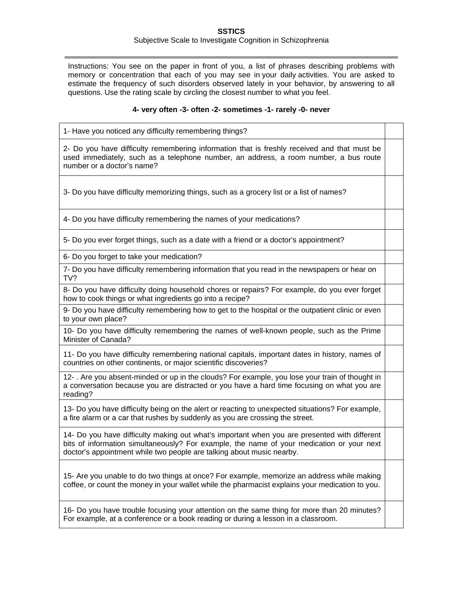## **SSTICS** Subjective Scale to Investigate Cognition in Schizophrenia

Instructions: You see on the paper in front of you, a list of phrases describing problems with memory or concentration that each of you may see in your daily activities. You are asked to estimate the frequency of such disorders observed lately in your behavior, by answering to all questions. Use the rating scale by circling the closest number to what you feel.

## **4- very often -3- often -2- sometimes -1- rarely -0- never**

1- Have you noticed any difficulty remembering things?

2- Do you have difficulty remembering information that is freshly received and that must be used immediately, such as a telephone number, an address, a room number, a bus route number or a doctor's name?

3- Do you have difficulty memorizing things, such as a grocery list or a list of names?

4- Do you have difficulty remembering the names of your medications?

5- Do you ever forget things, such as a date with a friend or a doctor's appointment?

6- Do you forget to take your medication?

7- Do you have difficulty remembering information that you read in the newspapers or hear on TV?

8- Do you have difficulty doing household chores or repairs? For example, do you ever forget how to cook things or what ingredients go into a recipe?

9- Do you have difficulty remembering how to get to the hospital or the outpatient clinic or even to your own place?

10- Do you have difficulty remembering the names of well-known people, such as the Prime Minister of Canada?

11- Do you have difficulty remembering national capitals, important dates in history, names of countries on other continents, or major scientific discoveries?

12- . Are you absent-minded or up in the clouds? For example, you lose your train of thought in a conversation because you are distracted or you have a hard time focusing on what you are reading?

13- Do you have difficulty being on the alert or reacting to unexpected situations? For example, a fire alarm or a car that rushes by suddenly as you are crossing the street.

14- Do you have difficulty making out what's important when you are presented with different bits of information simultaneously? For example, the name of your medication or your next doctor's appointment while two people are talking about music nearby.

15- Are you unable to do two things at once? For example, memorize an address while making coffee, or count the money in your wallet while the pharmacist explains your medication to you.

16- Do you have trouble focusing your attention on the same thing for more than 20 minutes? For example, at a conference or a book reading or during a lesson in a classroom.